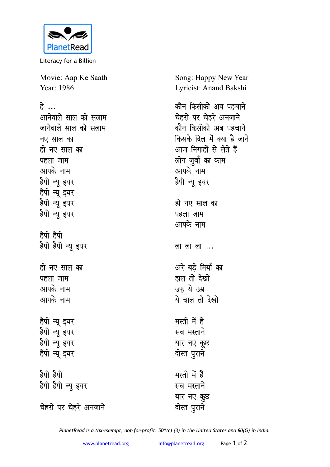

Literacy for a Billion

Movie: Aap Ke Saath Year: 1986

हे<br>*...* 

आनेवाले साल को सलाम जानेवाले साल को सलाम **नए साल का** हो नए साल का **पहला** जाम आपके नाम हैपी न्यू इयर हैपी न्यू इयर हैपी न्यू **इयर** हैपी न्यू इयर **हैपी हैपी** हैपी हैपी न्यू **इयर** हो नए साल का **पहला** जाम आपके नाम आपके नाम हैपी न्यू **इय**र हैपी न्यू इयर हैपी न्यू **इयर** हैपी न्यू इयर **gSih gSih** हैपी हैपी न्यू इयर **चेहरों पर चेहरे अनजाने** 

Song: Happy New Year Lyricist: Anand Bakshi

कौन किसीको अब पहच<del>ा</del>ने **चेहरों पर चेहरे अनजाने** *कौन किसीको अ*ब पहचाने <u>किसके दिल में क्या है जाने</u> <u>आज निगाहों से लेते हैं</u> <u>लोग ज</u>ुबाँ का काम आपके नाम हैपी न्यू इयर हो नए साल का पहला जाम आपके नाम ला ला ला ... अरे बडे मियाँ का हाल तो देखो उफ ये उम्र <u>ये चाल तो देखो</u> मस्ती में हैं सब मस्ताने यार नए कुछ **रोस्त** पुराने मस्ती में हैं **Ha** मस्ताने यार नए कुछ

*PlanetRead is a tax-exempt, not-for-profit: 501(c) (3) in the United States and 80(G) in India.*

<u>दोस्त प</u>ूराने